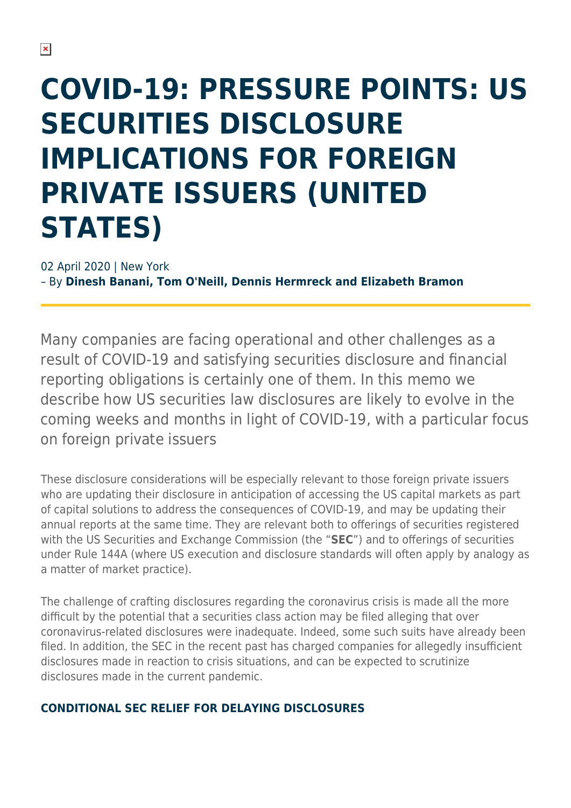# **COVID-19: PRESSURE POINTS: US SECURITIES DISCLOSURE IMPLICATIONS FOR FOREIGN PRIVATE ISSUERS (UNITED STATES)**

02 April 2020 | New York – By **Dinesh Banani, Tom O'Neill, Dennis Hermreck and Elizabeth Bramon**

Many companies are facing operational and other challenges as a result of COVID-19 and satisfying securities disclosure and financial reporting obligations is certainly one of them. In this memo we describe how US securities law disclosures are likely to evolve in the coming weeks and months in light of COVID-19, with a particular focus on foreign private issuers

These disclosure considerations will be especially relevant to those foreign private issuers who are updating their disclosure in anticipation of accessing the US capital markets as part of capital solutions to address the consequences of COVID-19, and may be updating their annual reports at the same time. They are relevant both to offerings of securities registered with the US Securities and Exchange Commission (the "**SEC**") and to offerings of securities under Rule 144A (where US execution and disclosure standards will often apply by analogy as a matter of market practice).

The challenge of crafting disclosures regarding the coronavirus crisis is made all the more difficult by the potential that a securities class action may be filed alleging that over coronavirus-related disclosures were inadequate. Indeed, some such suits have already been filed. In addition, the SEC in the recent past has charged companies for allegedly insufficient disclosures made in reaction to crisis situations, and can be expected to scrutinize disclosures made in the current pandemic.

#### **CONDITIONAL SEC RELIEF FOR DELAYING DISCLOSURES**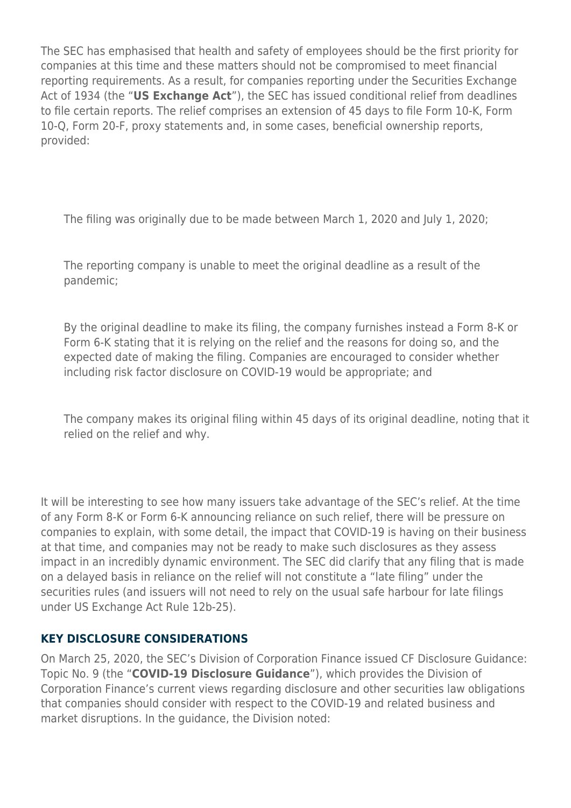The SEC has emphasised that health and safety of employees should be the first priority for companies at this time and these matters should not be compromised to meet financial reporting requirements. As a result, for companies reporting under the Securities Exchange Act of 1934 (the "**US Exchange Act**"), the SEC has issued conditional relief from deadlines to file certain reports. The relief comprises an extension of 45 days to file Form 10-K, Form 10-Q, Form 20-F, proxy statements and, in some cases, beneficial ownership reports, provided:

The filing was originally due to be made between March 1, 2020 and July 1, 2020;

The reporting company is unable to meet the original deadline as a result of the pandemic;

By the original deadline to make its filing, the company furnishes instead a Form 8-K or Form 6-K stating that it is relying on the relief and the reasons for doing so, and the expected date of making the filing. Companies are encouraged to consider whether including risk factor disclosure on COVID-19 would be appropriate; and

The company makes its original filing within 45 days of its original deadline, noting that it relied on the relief and why.

It will be interesting to see how many issuers take advantage of the SEC's relief. At the time of any Form 8-K or Form 6-K announcing reliance on such relief, there will be pressure on companies to explain, with some detail, the impact that COVID-19 is having on their business at that time, and companies may not be ready to make such disclosures as they assess impact in an incredibly dynamic environment. The SEC did clarify that any filing that is made on a delayed basis in reliance on the relief will not constitute a "late filing" under the securities rules (and issuers will not need to rely on the usual safe harbour for late filings under US Exchange Act Rule 12b-25).

#### **KEY DISCLOSURE CONSIDERATIONS**

On March 25, 2020, the SEC's Division of Corporation Finance issued CF Disclosure Guidance: Topic No. 9 (the "**COVID-19 Disclosure Guidance**"), which provides the Division of Corporation Finance's current views regarding disclosure and other securities law obligations that companies should consider with respect to the COVID-19 and related business and market disruptions. In the guidance, the Division noted: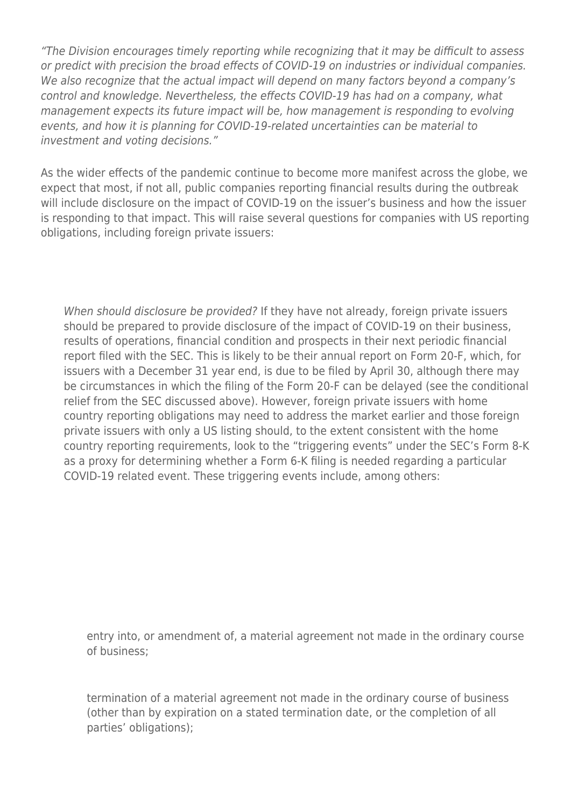"The Division encourages timely reporting while recognizing that it may be difficult to assess or predict with precision the broad effects of COVID-19 on industries or individual companies. We also recognize that the actual impact will depend on many factors beyond a company's control and knowledge. Nevertheless, the effects COVID-19 has had on a company, what management expects its future impact will be, how management is responding to evolving events, and how it is planning for COVID-19-related uncertainties can be material to investment and voting decisions."

As the wider effects of the pandemic continue to become more manifest across the globe, we expect that most, if not all, public companies reporting financial results during the outbreak will include disclosure on the impact of COVID-19 on the issuer's business and how the issuer is responding to that impact. This will raise several questions for companies with US reporting obligations, including foreign private issuers:

When should disclosure be provided? If they have not already, foreign private issuers should be prepared to provide disclosure of the impact of COVID-19 on their business, results of operations, financial condition and prospects in their next periodic financial report filed with the SEC. This is likely to be their annual report on Form 20-F, which, for issuers with a December 31 year end, is due to be filed by April 30, although there may be circumstances in which the filing of the Form 20-F can be delayed (see the conditional relief from the SEC discussed above). However, foreign private issuers with home country reporting obligations may need to address the market earlier and those foreign private issuers with only a US listing should, to the extent consistent with the home country reporting requirements, look to the "triggering events" under the SEC's Form 8-K as a proxy for determining whether a Form 6-K filing is needed regarding a particular COVID-19 related event. These triggering events include, among others:

entry into, or amendment of, a material agreement not made in the ordinary course of business;

termination of a material agreement not made in the ordinary course of business (other than by expiration on a stated termination date, or the completion of all parties' obligations);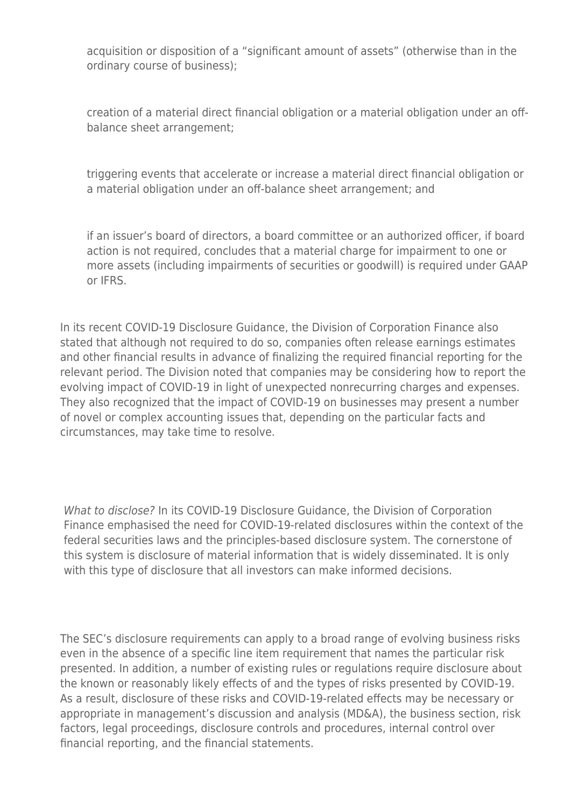acquisition or disposition of a "significant amount of assets" (otherwise than in the ordinary course of business);

creation of a material direct financial obligation or a material obligation under an offbalance sheet arrangement;

triggering events that accelerate or increase a material direct financial obligation or a material obligation under an off-balance sheet arrangement; and

if an issuer's board of directors, a board committee or an authorized officer, if board action is not required, concludes that a material charge for impairment to one or more assets (including impairments of securities or goodwill) is required under GAAP or IFRS.

In its recent COVID-19 Disclosure Guidance, the Division of Corporation Finance also stated that although not required to do so, companies often release earnings estimates and other financial results in advance of finalizing the required financial reporting for the relevant period. The Division noted that companies may be considering how to report the evolving impact of COVID-19 in light of unexpected nonrecurring charges and expenses. They also recognized that the impact of COVID-19 on businesses may present a number of novel or complex accounting issues that, depending on the particular facts and circumstances, may take time to resolve.

What to disclose? In its COVID-19 Disclosure Guidance, the Division of Corporation Finance emphasised the need for COVID-19-related disclosures within the context of the federal securities laws and the principles-based disclosure system. The cornerstone of this system is disclosure of material information that is widely disseminated. It is only with this type of disclosure that all investors can make informed decisions.

The SEC's disclosure requirements can apply to a broad range of evolving business risks even in the absence of a specific line item requirement that names the particular risk presented. In addition, a number of existing rules or regulations require disclosure about the known or reasonably likely effects of and the types of risks presented by COVID-19. As a result, disclosure of these risks and COVID-19-related effects may be necessary or appropriate in management's discussion and analysis (MD&A), the business section, risk factors, legal proceedings, disclosure controls and procedures, internal control over financial reporting, and the financial statements.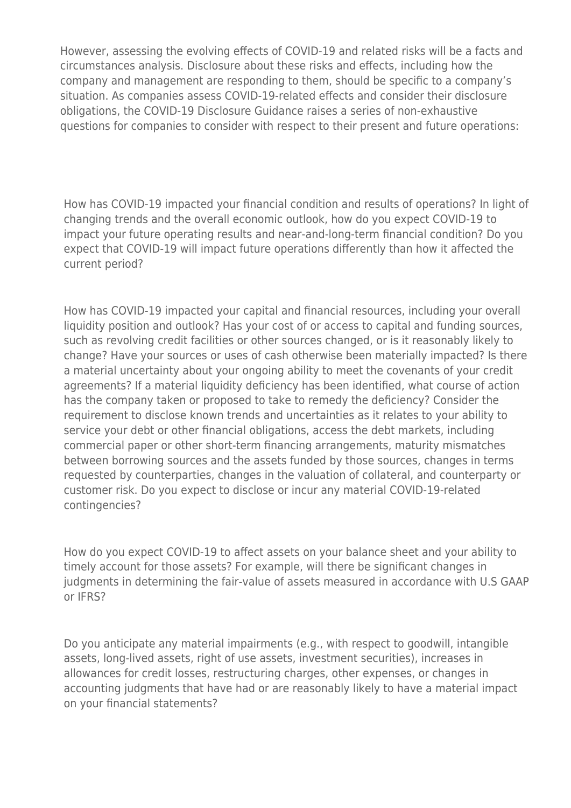However, assessing the evolving effects of COVID-19 and related risks will be a facts and circumstances analysis. Disclosure about these risks and effects, including how the company and management are responding to them, should be specific to a company's situation. As companies assess COVID-19-related effects and consider their disclosure obligations, the COVID-19 Disclosure Guidance raises a series of non-exhaustive questions for companies to consider with respect to their present and future operations:

How has COVID-19 impacted your financial condition and results of operations? In light of changing trends and the overall economic outlook, how do you expect COVID-19 to impact your future operating results and near-and-long-term financial condition? Do you expect that COVID-19 will impact future operations differently than how it affected the current period?

How has COVID-19 impacted your capital and financial resources, including your overall liquidity position and outlook? Has your cost of or access to capital and funding sources, such as revolving credit facilities or other sources changed, or is it reasonably likely to change? Have your sources or uses of cash otherwise been materially impacted? Is there a material uncertainty about your ongoing ability to meet the covenants of your credit agreements? If a material liquidity deficiency has been identified, what course of action has the company taken or proposed to take to remedy the deficiency? Consider the requirement to disclose known trends and uncertainties as it relates to your ability to service your debt or other financial obligations, access the debt markets, including commercial paper or other short-term financing arrangements, maturity mismatches between borrowing sources and the assets funded by those sources, changes in terms requested by counterparties, changes in the valuation of collateral, and counterparty or customer risk. Do you expect to disclose or incur any material COVID-19-related contingencies?

How do you expect COVID-19 to affect assets on your balance sheet and your ability to timely account for those assets? For example, will there be significant changes in judgments in determining the fair-value of assets measured in accordance with U.S GAAP or IFRS?

Do you anticipate any material impairments (e.g., with respect to goodwill, intangible assets, long-lived assets, right of use assets, investment securities), increases in allowances for credit losses, restructuring charges, other expenses, or changes in accounting judgments that have had or are reasonably likely to have a material impact on your financial statements?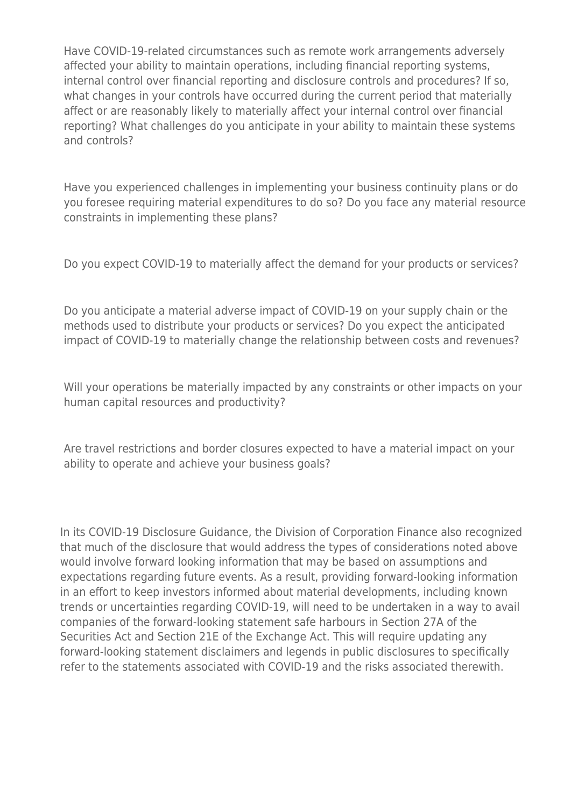Have COVID-19-related circumstances such as remote work arrangements adversely affected your ability to maintain operations, including financial reporting systems, internal control over financial reporting and disclosure controls and procedures? If so, what changes in your controls have occurred during the current period that materially affect or are reasonably likely to materially affect your internal control over financial reporting? What challenges do you anticipate in your ability to maintain these systems and controls?

Have you experienced challenges in implementing your business continuity plans or do you foresee requiring material expenditures to do so? Do you face any material resource constraints in implementing these plans?

Do you expect COVID-19 to materially affect the demand for your products or services?

Do you anticipate a material adverse impact of COVID-19 on your supply chain or the methods used to distribute your products or services? Do you expect the anticipated impact of COVID-19 to materially change the relationship between costs and revenues?

Will your operations be materially impacted by any constraints or other impacts on your human capital resources and productivity?

Are travel restrictions and border closures expected to have a material impact on your ability to operate and achieve your business goals?

In its COVID-19 Disclosure Guidance, the Division of Corporation Finance also recognized that much of the disclosure that would address the types of considerations noted above would involve forward looking information that may be based on assumptions and expectations regarding future events. As a result, providing forward-looking information in an effort to keep investors informed about material developments, including known trends or uncertainties regarding COVID-19, will need to be undertaken in a way to avail companies of the forward-looking statement safe harbours in Section 27A of the Securities Act and Section 21E of the Exchange Act. This will require updating any forward-looking statement disclaimers and legends in public disclosures to specifically refer to the statements associated with COVID-19 and the risks associated therewith.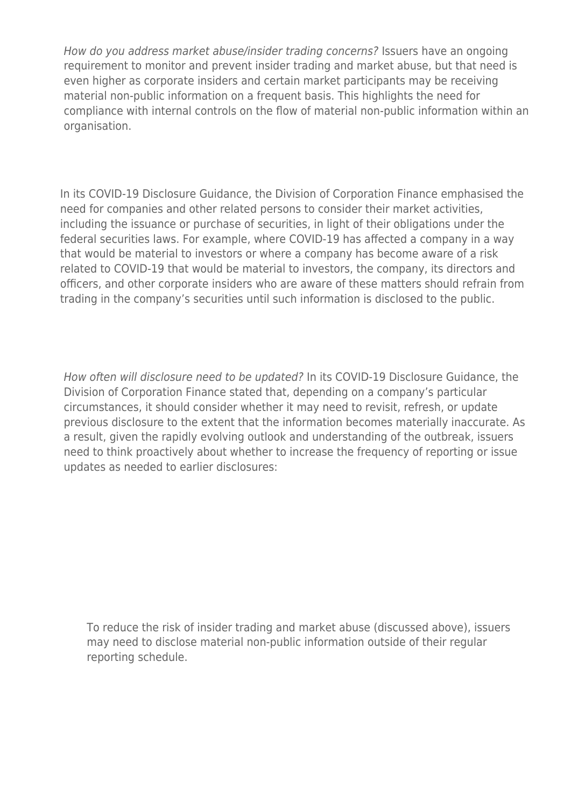How do you address market abuse/insider trading concerns? Issuers have an ongoing requirement to monitor and prevent insider trading and market abuse, but that need is even higher as corporate insiders and certain market participants may be receiving material non-public information on a frequent basis. This highlights the need for compliance with internal controls on the flow of material non-public information within an organisation.

In its COVID-19 Disclosure Guidance, the Division of Corporation Finance emphasised the need for companies and other related persons to consider their market activities, including the issuance or purchase of securities, in light of their obligations under the federal securities laws. For example, where COVID-19 has affected a company in a way that would be material to investors or where a company has become aware of a risk related to COVID-19 that would be material to investors, the company, its directors and officers, and other corporate insiders who are aware of these matters should refrain from trading in the company's securities until such information is disclosed to the public.

How often will disclosure need to be updated? In its COVID-19 Disclosure Guidance, the Division of Corporation Finance stated that, depending on a company's particular circumstances, it should consider whether it may need to revisit, refresh, or update previous disclosure to the extent that the information becomes materially inaccurate. As a result, given the rapidly evolving outlook and understanding of the outbreak, issuers need to think proactively about whether to increase the frequency of reporting or issue updates as needed to earlier disclosures:

To reduce the risk of insider trading and market abuse (discussed above), issuers may need to disclose material non-public information outside of their regular reporting schedule.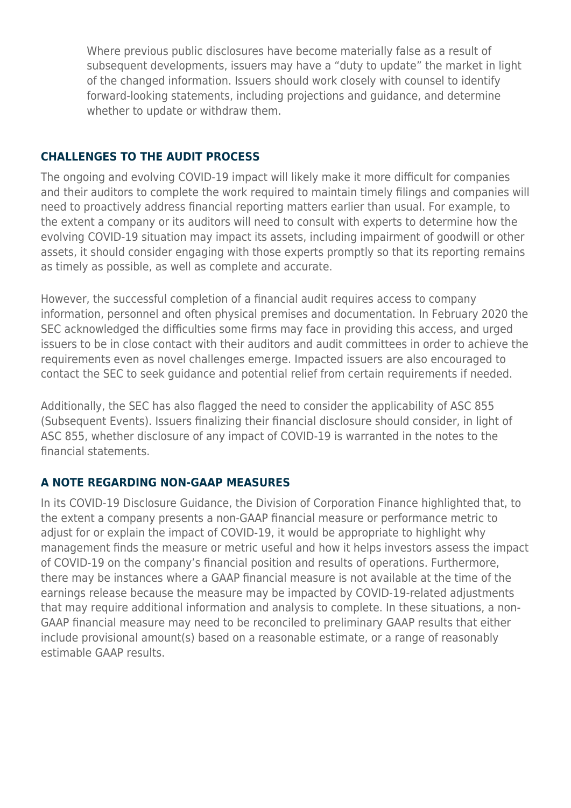Where previous public disclosures have become materially false as a result of subsequent developments, issuers may have a "duty to update" the market in light of the changed information. Issuers should work closely with counsel to identify forward-looking statements, including projections and guidance, and determine whether to update or withdraw them.

#### **CHALLENGES TO THE AUDIT PROCESS**

The ongoing and evolving COVID-19 impact will likely make it more difficult for companies and their auditors to complete the work required to maintain timely filings and companies will need to proactively address financial reporting matters earlier than usual. For example, to the extent a company or its auditors will need to consult with experts to determine how the evolving COVID-19 situation may impact its assets, including impairment of goodwill or other assets, it should consider engaging with those experts promptly so that its reporting remains as timely as possible, as well as complete and accurate.

However, the successful completion of a financial audit requires access to company information, personnel and often physical premises and documentation. In February 2020 the SEC acknowledged the difficulties some firms may face in providing this access, and urged issuers to be in close contact with their auditors and audit committees in order to achieve the requirements even as novel challenges emerge. Impacted issuers are also encouraged to contact the SEC to seek guidance and potential relief from certain requirements if needed.

Additionally, the SEC has also flagged the need to consider the applicability of ASC 855 (Subsequent Events). Issuers finalizing their financial disclosure should consider, in light of ASC 855, whether disclosure of any impact of COVID-19 is warranted in the notes to the financial statements.

#### **A NOTE REGARDING NON-GAAP MEASURES**

In its COVID-19 Disclosure Guidance, the Division of Corporation Finance highlighted that, to the extent a company presents a non-GAAP financial measure or performance metric to adjust for or explain the impact of COVID-19, it would be appropriate to highlight why management finds the measure or metric useful and how it helps investors assess the impact of COVID-19 on the company's financial position and results of operations. Furthermore, there may be instances where a GAAP financial measure is not available at the time of the earnings release because the measure may be impacted by COVID-19-related adjustments that may require additional information and analysis to complete. In these situations, a non-GAAP financial measure may need to be reconciled to preliminary GAAP results that either include provisional amount(s) based on a reasonable estimate, or a range of reasonably estimable GAAP results.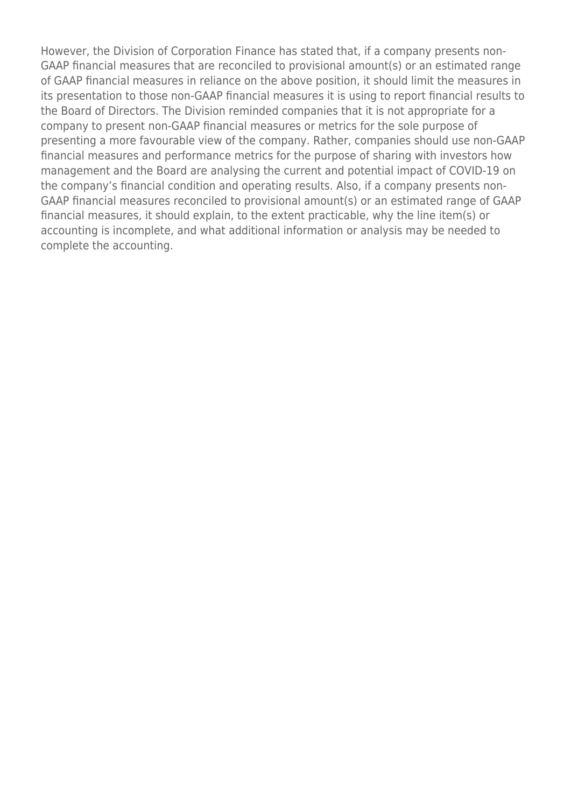However, the Division of Corporation Finance has stated that, if a company presents non-GAAP financial measures that are reconciled to provisional amount(s) or an estimated range of GAAP financial measures in reliance on the above position, it should limit the measures in its presentation to those non-GAAP financial measures it is using to report financial results to the Board of Directors. The Division reminded companies that it is not appropriate for a company to present non-GAAP financial measures or metrics for the sole purpose of presenting a more favourable view of the company. Rather, companies should use non-GAAP financial measures and performance metrics for the purpose of sharing with investors how management and the Board are analysing the current and potential impact of COVID-19 on the company's financial condition and operating results. Also, if a company presents non-GAAP financial measures reconciled to provisional amount(s) or an estimated range of GAAP financial measures, it should explain, to the extent practicable, why the line item(s) or accounting is incomplete, and what additional information or analysis may be needed to complete the accounting.